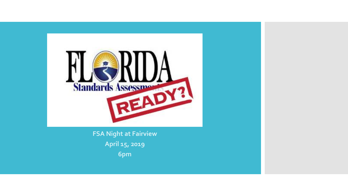

**FSA Night at Fairview April 15, 2019 6pm**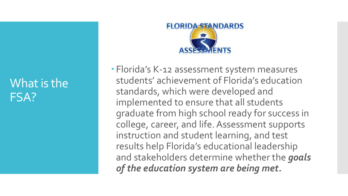### What is the FSA?



 Florida's K-12 assessment system measures students' achievement of Florida's education standards, which were developed and implemented to ensure that all students graduate from high school ready for success in college, career, and life. Assessment supports instruction and student learning, and test results help Florida's educational leadership and stakeholders determine whether the *goals of the education system are being met.*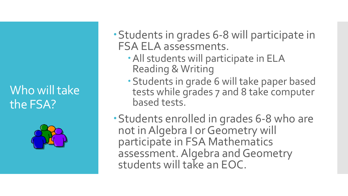## Who will take the FSA?



- Students in grades 6-8 will participate in FSA ELA assessments.
	- All students will participate in ELA Reading & Writing
	- Students in grade 6 will take paper based tests while grades 7 and 8 take computer based tests.
- Students enrolled in grades 6-8 who are not in Algebra I or Geometry will participate in FSA Mathematics assessment. Algebra and Geometry students will take an EOC.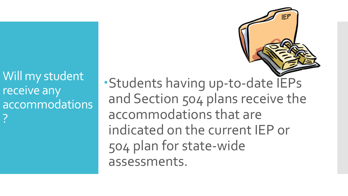

Will my student receive any accommodations ?

Students having up-to-date IEPs and Section 504 plans receive the accommodations that are indicated on the current IEP or 504 plan for state-wide assessments.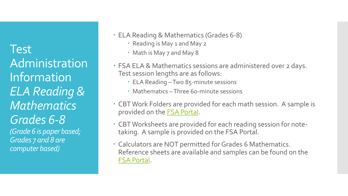Test Administration Information *ELA Reading & Mathematics Grades 6-8 (Grade 6 is paper based; Grades 7 and 8 are* 

*computer based)*

ELA Reading & Mathematics (Grades 6-8)

- Reading is May 1 and May 2
- Math is May 7 and May 8
- FSA ELA & Mathematics sessions are administered over 2 days. Test session lengths are as follows:
	- ELA Reading –Two 85-minute sessions
	- Mathematics –Three 60-minute sessions
- CBT Work Folders are provided for each math session. A sample is provided on the [FSA Portal.](http://fsassessments.org/wp-content/uploads/2016/09/CBT-Worksheet_Fall-2016-FSA-TAM.pdf)
- CBT Worksheets are provided for each reading session for notetaking. A sample is provided on the FSA Portal.
- Calculators are NOT permitted for Grades 6 Mathematics. Reference sheets are available and samples can be found on the [FSA Portal.](http://fsassessments.org/wp-content/uploads/2014/06/FSAMathematicsReferenceSheetsPacket_Updated_09242015.pdf)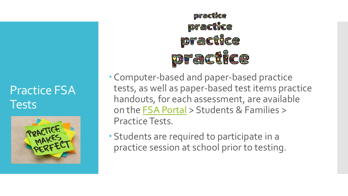### Practice FSA Tests



practice practice **practice DEGGGUYCE** 

 Computer-based and paper-based practice tests, as well as paper-based test items practice handouts, for each assessment, are available on the [FSA Portal](http://fsassessments.org/students-and-families/practice-tests/) > Students & Families > Practice Tests.

 Students are required to participate in a practice session at school prior to testing.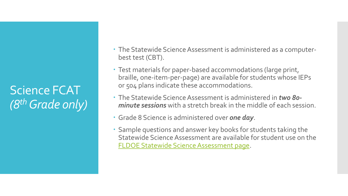Science FCAT *(8thGrade only)*

- The Statewide Science Assessment is administered as a computerbest test (CBT).
- Test materials for paper-based accommodations (large print, braille, one-item-per-page) are available for students whose IEPs or 504 plans indicate these accommodations.
- The Statewide Science Assessment is administered in *two 80 minute sessions* with a stretch break in the middle of each session.
- Grade 8 Science is administered over *one day*.
- Sample questions and answer key books for students taking the Statewide Science Assessment are available for student use on the [FLDOE Statewide Science Assessment page.](http://www.fldoe.org/accountability/assessments/k-12-student-assessment/science.stml)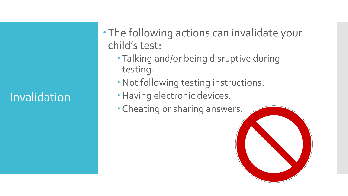# **Invalidation**

- The following actions can invalidate your child's test:
	- Talking and/or being disruptive during testing.
	- Not following testing instructions.
	- · Having electronic devices.
	- Cheating or sharing answers.

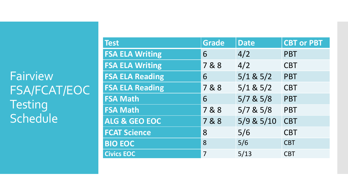**Fairview** FSA/FCAT/EOC **Testing** Schedule

| <b>Test</b>            | <b>Grade</b> | <b>Date</b>   | <b>CBT or PBT</b> |
|------------------------|--------------|---------------|-------------------|
| <b>FSA ELA Writing</b> | 6            | 4/2           | <b>PBT</b>        |
| <b>FSA ELA Writing</b> | 7&8          | 4/2           | <b>CBT</b>        |
| <b>FSA ELA Reading</b> | 6            | $5/1$ & $5/2$ | <b>PBT</b>        |
| <b>FSA ELA Reading</b> | 7&8          | $5/1$ & $5/2$ | <b>CBT</b>        |
| <b>FSA Math</b>        | 6            | $5/7$ & $5/8$ | <b>PBT</b>        |
| <b>FSA Math</b>        | 7&8          | $5/7$ & $5/8$ | <b>PBT</b>        |
| ALG & GEO EOC          | 7&8          | 5/9 & 5/10    | <b>CBT</b>        |
| <b>FCAT Science</b>    | 8            | 5/6           | <b>CBT</b>        |
| <b>BIO EOC</b>         | 8            | 5/6           | <b>CBT</b>        |
| <b>Civics EOC</b>      | 7            | 5/13          | <b>CBT</b>        |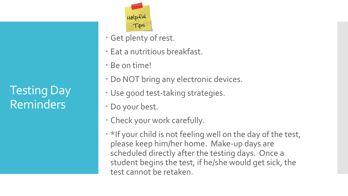Testing Day Reminders



- Get plenty of rest.
- Eat a nutritious breakfast.
- Be on time!
- Do NOT bring any electronic devices.
- Use good test-taking strategies.
- Do your best.
- Check your work carefully.
- \*If your child is not feeling well on the day of the test, please keep him/her home. Make-up days are scheduled directly after the testing days. Once a student begins the test, if he/she would get sick, the test cannot be retaken.